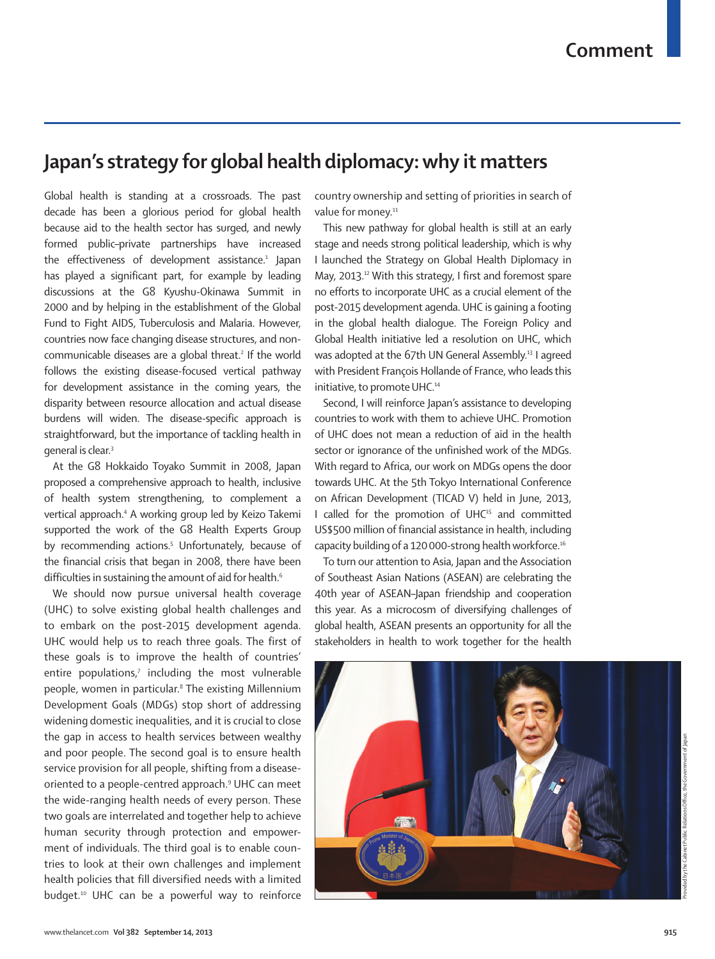## **Japan's strategy for global health diplomacy: why it matters**

Global health is standing at a crossroads. The past decade has been a glorious period for global health because aid to the health sector has surged, and newly formed public–private partnerships have increased the effectiveness of development assistance.<sup>1</sup> Japan has played a significant part, for example by leading discussions at the G8 Kyushu-Okinawa Summit in 2000 and by helping in the establishment of the Global Fund to Fight AIDS, Tuberculosis and Malaria. However, countries now face changing disease structures, and noncommunicable diseases are a global threat.2 If the world follows the existing disease-focused vertical pathway for development assistance in the coming years, the disparity between resource allocation and actual disease burdens will widen. The disease-specific approach is straightforward, but the importance of tackling health in general is clear.3

At the G8 Hokkaido Toyako Summit in 2008, Japan proposed a comprehensive approach to health, inclusive of health system strengthening, to complement a vertical approach.4 A working group led by Keizo Takemi supported the work of the G8 Health Experts Group by recommending actions.<sup>5</sup> Unfortunately, because of the financial crisis that began in 2008, there have been difficulties in sustaining the amount of aid for health.<sup>6</sup>

We should now pursue universal health coverage (UHC) to solve existing global health challenges and to embark on the post-2015 development agenda. UHC would help us to reach three goals. The first of these goals is to improve the health of countries' entire populations,<sup>7</sup> including the most vulnerable people, women in particular.<sup>8</sup> The existing Millennium Development Goals (MDGs) stop short of addressing widening domestic inequalities, and it is crucial to close the gap in access to health services between wealthy and poor people. The second goal is to ensure health service provision for all people, shifting from a diseaseoriented to a people-centred approach.9 UHC can meet the wide-ranging health needs of every person. These two goals are interrelated and together help to achieve human security through protection and empowerment of individuals. The third goal is to enable countries to look at their own challenges and implement health policies that fill diversified needs with a limited budget.<sup>10</sup> UHC can be a powerful way to reinforce

country ownership and setting of priorities in search of value for money.<sup>11</sup>

This new pathway for global health is still at an early stage and needs strong political leadership, which is why I launched the Strategy on Global Health Diplomacy in May, 2013.<sup>12</sup> With this strategy, I first and foremost spare no efforts to incorporate UHC as a crucial element of the post-2015 development agenda. UHC is gaining a footing in the global health dialogue. The Foreign Policy and Global Health initiative led a resolution on UHC, which was adopted at the 67th UN General Assembly.<sup>13</sup> I agreed with President François Hollande of France, who leads this initiative, to promote UHC.<sup>14</sup>

Second, I will reinforce Japan's assistance to developing countries to work with them to achieve UHC. Promotion of UHC does not mean a reduction of aid in the health sector or ignorance of the unfinished work of the MDGs. With regard to Africa, our work on MDGs opens the door towards UHC. At the 5th Tokyo International Conference on African Development (TICAD V) held in June, 2013, I called for the promotion of UHC<sup>15</sup> and committed US\$500 million of financial assistance in health, including capacity building of a 120 000-strong health workforce.16

To turn our attention to Asia, Japan and the Association of Southeast Asian Nations (ASEAN) are celebrating the 40th year of ASEAN–Japan friendship and cooperation this year. As a microcosm of diversifying challenges of global health, ASEAN presents an opportunity for all the stakeholders in health to work together for the health